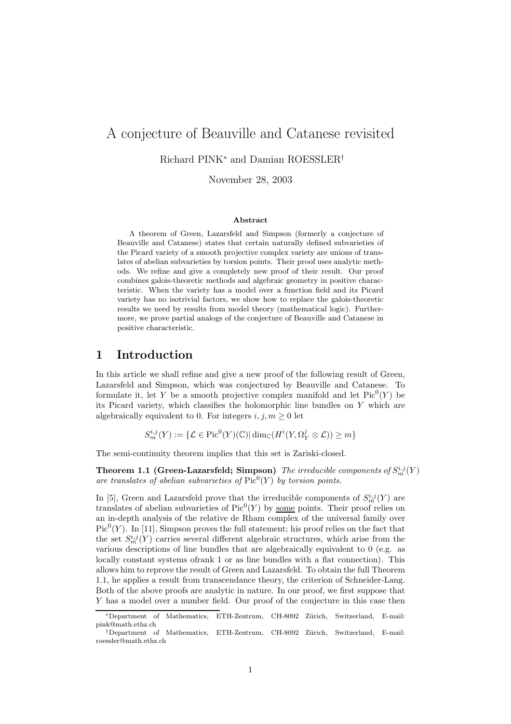# A conjecture of Beauville and Catanese revisited

Richard PINK<sup>∗</sup> and Damian ROESSLER†

November 28, 2003

### Abstract

A theorem of Green, Lazarsfeld and Simpson (formerly a conjecture of Beauville and Catanese) states that certain naturally defined subvarieties of the Picard variety of a smooth projective complex variety are unions of translates of abelian subvarieties by torsion points. Their proof uses analytic methods. We refine and give a completely new proof of their result. Our proof combines galois-theoretic methods and algebraic geometry in positive characteristic. When the variety has a model over a function field and its Picard variety has no isotrivial factors, we show how to replace the galois-theoretic results we need by results from model theory (mathematical logic). Furthermore, we prove partial analogs of the conjecture of Beauville and Catanese in positive characteristic.

## 1 Introduction

In this article we shall refine and give a new proof of the following result of Green, Lazarsfeld and Simpson, which was conjectured by Beauville and Catanese. To formulate it, let Y be a smooth projective complex manifold and let  $Pic^0(Y)$  be its Picard variety, which classifies the holomorphic line bundles on Y which are algebraically equivalent to 0. For integers  $i, j, m \geq 0$  let

$$
S_m^{i,j}(Y) := \{ \mathcal{L} \in \operatorname{Pic}^0(Y)(\mathbb{C}) | \dim_{\mathbb{C}}(H^i(Y, \Omega^j_Y \otimes \mathcal{L})) \geq m \}
$$

The semi-continuity theorem implies that this set is Zariski-closed.

**Theorem 1.1 (Green-Lazarsfeld; Simpson)** The irreducible components of  $S_m^{i,j}(Y)$ are translates of abelian subvarieties of  $Pic^0(Y)$  by torsion points.

In [5], Green and Lazarsfeld prove that the irreducible components of  $S_m^{i,j}(Y)$  are translates of abelian subvarieties of  $Pic^0(Y)$  by <u>some</u> points. Their proof relies on an in-depth analysis of the relative de Rham complex of the universal family over  $Pic<sup>0</sup>(Y)$ . In [11], Simpson proves the full statement; his proof relies on the fact that the set  $S_m^{i,j}(Y)$  carries several different algebraic structures, which arise from the various descriptions of line bundles that are algebraically equivalent to 0 (e.g. as locally constant systems ofrank 1 or as line bundles with a flat connection). This allows him to reprove the result of Green and Lazarsfeld. To obtain the full Theorem 1.1, he applies a result from transcendance theory, the criterion of Schneider-Lang. Both of the above proofs are analytic in nature. In our proof, we first suppose that Y has a model over a number field. Our proof of the conjecture in this case then

<sup>∗</sup>Department of Mathematics, ETH-Zentrum, CH-8092 Z¨urich, Switzerland, E-mail: pink@math.ethz.ch

<sup>†</sup>Department of Mathematics, ETH-Zentrum, CH-8092 Z¨urich, Switzerland, E-mail: roessler@math.ethz.ch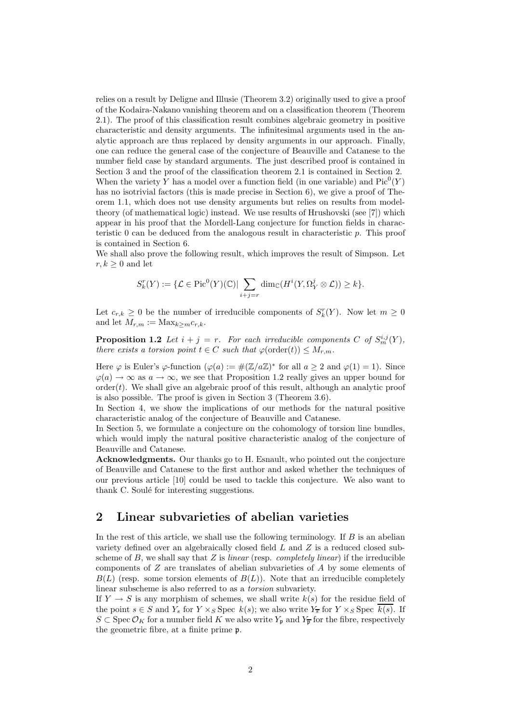relies on a result by Deligne and Illusie (Theorem 3.2) originally used to give a proof of the Kodaira-Nakano vanishing theorem and on a classification theorem (Theorem 2.1). The proof of this classification result combines algebraic geometry in positive characteristic and density arguments. The infinitesimal arguments used in the analytic approach are thus replaced by density arguments in our approach. Finally, one can reduce the general case of the conjecture of Beauville and Catanese to the number field case by standard arguments. The just described proof is contained in Section 3 and the proof of the classification theorem 2.1 is contained in Section 2. When the variety Y has a model over a function field (in one variable) and  $Pic^0(Y)$ has no isotrivial factors (this is made precise in Section 6), we give a proof of Theorem 1.1, which does not use density arguments but relies on results from modeltheory (of mathematical logic) instead. We use results of Hrushovski (see [7]) which appear in his proof that the Mordell-Lang conjecture for function fields in characteristic 0 can be deduced from the analogous result in characteristic p. This proof is contained in Section 6.

We shall also prove the following result, which improves the result of Simpson. Let  $r, k \geq 0$  and let

$$
S_k^r(Y) := \{ \mathcal{L} \in \mathrm{Pic}^0(Y)(\mathbb{C}) \mid \sum_{i+j=r} \dim_{\mathbb{C}}(H^i(Y, \Omega^j_Y \otimes \mathcal{L})) \geq k \}.
$$

Let  $c_{r,k} \geq 0$  be the number of irreducible components of  $S_k^r(Y)$ . Now let  $m \geq 0$ and let  $M_{r,m} := \text{Max}_{k \geq m} c_{r,k}$ .

**Proposition 1.2** Let  $i + j = r$ . For each irreducible components C of  $S_m^{i,j}(Y)$ , there exists a torsion point  $t \in C$  such that  $\varphi(\text{order}(t)) \leq M_{r,m}$ .

Here  $\varphi$  is Euler's  $\varphi$ -function  $(\varphi(a) := \#(\mathbb{Z}/a\mathbb{Z})^*)$  for all  $a \geq 2$  and  $\varphi(1) = 1$ ). Since  $\varphi(a) \to \infty$  as  $a \to \infty$ , we see that Proposition 1.2 really gives an upper bound for  $order(t)$ . We shall give an algebraic proof of this result, although an analytic proof is also possible. The proof is given in Section 3 (Theorem 3.6).

In Section 4, we show the implications of our methods for the natural positive characteristic analog of the conjecture of Beauville and Catanese.

In Section 5, we formulate a conjecture on the cohomology of torsion line bundles, which would imply the natural positive characteristic analog of the conjecture of Beauville and Catanese.

Acknowledgments. Our thanks go to H. Esnault, who pointed out the conjecture of Beauville and Catanese to the first author and asked whether the techniques of our previous article [10] could be used to tackle this conjecture. We also want to thank C. Soulé for interesting suggestions.

## 2 Linear subvarieties of abelian varieties

In the rest of this article, we shall use the following terminology. If  $B$  is an abelian variety defined over an algebraically closed field L and Z is a reduced closed subscheme of  $B$ , we shall say that  $Z$  is *linear* (resp. *completely linear*) if the irreducible components of Z are translates of abelian subvarieties of A by some elements of  $B(L)$  (resp. some torsion elements of  $B(L)$ ). Note that an irreducible completely linear subscheme is also referred to as a torsion subvariety.

If  $Y \to S$  is any morphism of schemes, we shall write  $k(s)$  for the residue field of the point  $s \in S$  and  $Y_s$  for  $Y \times_S \text{Spec } k(s)$ ; we also write  $Y_{\overline{s}}$  for  $Y \times_S \text{Spec } \overline{k(s)}$ . If  $S \subset \operatorname{Spec} \mathcal{O}_K$  for a number field K we also write  $Y_{\mathfrak{p}}$  and  $Y_{\overline{\mathfrak{p}}}$  for the fibre, respectively the geometric fibre, at a finite prime p.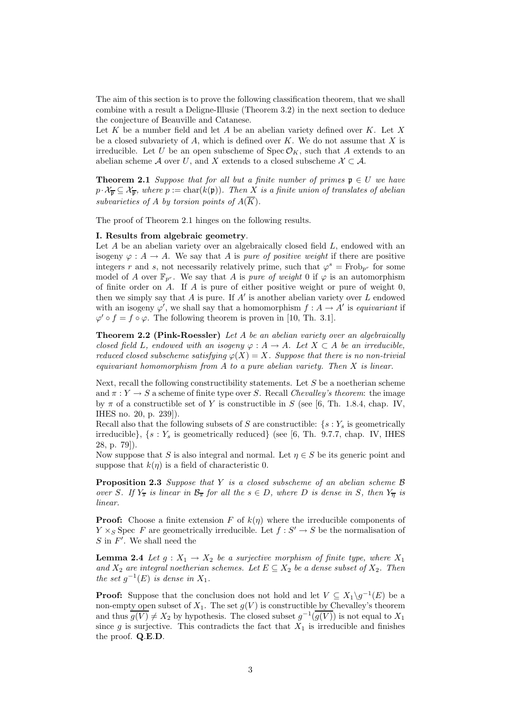The aim of this section is to prove the following classification theorem, that we shall combine with a result a Deligne-Illusie (Theorem 3.2) in the next section to deduce the conjecture of Beauville and Catanese.

Let K be a number field and let A be an abelian variety defined over K. Let X be a closed subvariety of  $A$ , which is defined over  $K$ . We do not assume that  $X$  is irreducible. Let U be an open subscheme of  $Spec\,\mathcal{O}_K$ , such that A extends to an abelian scheme A over U, and X extends to a closed subscheme  $\mathcal{X} \subset \mathcal{A}$ .

**Theorem 2.1** Suppose that for all but a finite number of primes  $\mathfrak{p} \in U$  we have  $p \cdot \mathcal{X}_{\overline{p}} \subseteq \mathcal{X}_{\overline{p}}$ , where  $p := \text{char}(k(\mathfrak{p}))$ . Then X is a finite union of translates of abelian subvarieties of A by torsion points of  $A(\overline{K})$ .

The proof of Theorem 2.1 hinges on the following results.

#### I. Results from algebraic geometry.

Let  $A$  be an abelian variety over an algebraically closed field  $L$ , endowed with an isogeny  $\varphi: A \to A$ . We say that A is *pure of positive weight* if there are positive integers r and s, not necessarily relatively prime, such that  $\varphi^s = \text{Frob}_{p^r}$  for some model of A over  $\mathbb{F}_{p^r}$ . We say that A is *pure of weight* 0 if  $\varphi$  is an automorphism of finite order on A. If A is pure of either positive weight or pure of weight 0, then we simply say that  $A$  is pure. If  $A'$  is another abelian variety over  $L$  endowed with an isogeny  $\varphi'$ , we shall say that a homomorphism  $f : A \to A'$  is *equivariant* if  $\varphi' \circ f = f \circ \varphi$ . The following theorem is proven in [10, Th. 3.1].

Theorem 2.2 (Pink-Roessler) Let A be an abelian variety over an algebraically closed field L, endowed with an isogeny  $\varphi: A \to A$ . Let  $X \subset A$  be an irreducible, reduced closed subscheme satisfying  $\varphi(X) = X$ . Suppose that there is no non-trivial equivariant homomorphism from  $A$  to a pure abelian variety. Then  $X$  is linear.

Next, recall the following constructibility statements. Let  $S$  be a noetherian scheme and  $\pi: Y \to S$  a scheme of finite type over S. Recall Chevalley's theorem: the image by  $\pi$  of a constructible set of Y is constructible in S (see [6, Th. 1.8.4, chap. IV, IHES no. 20, p. 239]).

Recall also that the following subsets of S are constructible:  $\{s: Y_s$  is geometrically irreducible},  $\{s: Y_s \text{ is geometrically reduced}\}\$  (see [6, Th. 9.7.7, chap. IV, IHES 28, p. 79]).

Now suppose that S is also integral and normal. Let  $\eta \in S$  be its generic point and suppose that  $k(\eta)$  is a field of characteristic 0.

**Proposition 2.3** Suppose that Y is a closed subscheme of an abelian scheme  $\beta$ over S. If  $Y_{\overline{s}}$  is linear in  $\mathcal{B}_{\overline{s}}$  for all the  $s \in D$ , where D is dense in S, then  $Y_{\overline{\eta}}$  is linear.

**Proof:** Choose a finite extension F of  $k(\eta)$  where the irreducible components of  $Y \times_S \text{Spec } F$  are geometrically irreducible. Let  $f : S' \to S$  be the normalisation of  $S$  in  $F'$ . We shall need the

**Lemma 2.4** Let  $g: X_1 \to X_2$  be a surjective morphism of finite type, where  $X_1$ and  $X_2$  are integral noetherian schemes. Let  $E \subseteq X_2$  be a dense subset of  $X_2$ . Then the set  $g^{-1}(E)$  is dense in  $X_1$ .

**Proof:** Suppose that the conclusion does not hold and let  $V \subseteq X_1 \backslash g^{-1}(E)$  be a non-empty open subset of  $X_1$ . The set  $g(V)$  is constructible by Chevalley's theorem and thus  $\overline{g(V)} \neq X_2$  by hypothesis. The closed subset  $g^{-1}(\overline{g(V)})$  is not equal to  $X_1$ since g is surjective. This contradicts the fact that  $X_1$  is irreducible and finishes the proof. Q.E.D.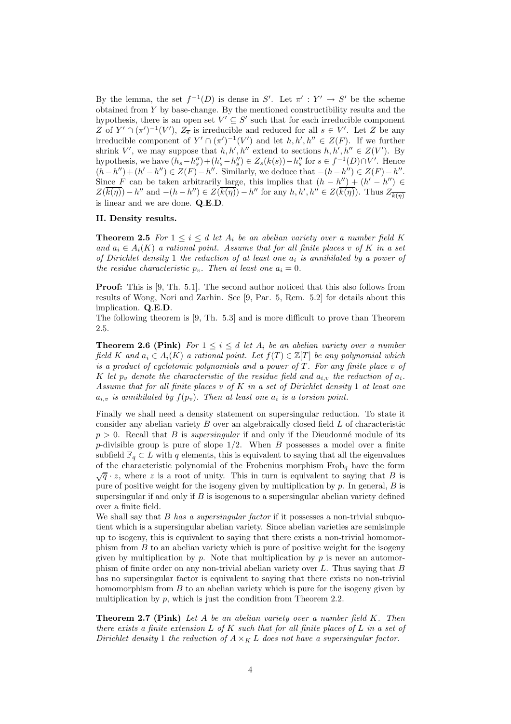By the lemma, the set  $f^{-1}(D)$  is dense in S'. Let  $\pi' : Y' \to S'$  be the scheme obtained from Y by base-change. By the mentioned constructibility results and the hypothesis, there is an open set  $V' \subseteq S'$  such that for each irreducible component Z of  $Y' \cap (\pi')^{-1}(V')$ ,  $Z_{\overline{s}}$  is irreducible and reduced for all  $s \in V'$ . Let Z be any irreducible component of  $Y' \cap (\pi')^{-1}(V')$  and let  $h, h', h'' \in Z(F)$ . If we further shrink V', we may suppose that  $h, h', h''$  extend to sections  $h, h', h'' \in Z(V')$ . By hypothesis, we have  $(h_s - h''_s) + (h'_s - h''_s) \in Z_s(k(s)) - h''_s$  for  $s \in f^{-1}(D) \cap V'$ . Hence  $(h-h'') + (h'-h'') \in Z(F) - h''$ . Similarly, we deduce that  $-(h-h'') \in Z(F) - h''$ . Since F can be taken arbitrarily large, this implies that  $(h - h'') + (h' - h'') \in$  $Z(\overline{k(\eta)}) - h''$  and  $-(h - h'') \in Z(\overline{k(\eta)}) - h''$  for any  $h, h', h'' \in Z(\overline{k(\eta)})$ . Thus  $Z_{\overline{k(\eta)}}$ is linear and we are done. Q.E.D.

#### II. Density results.

**Theorem 2.5** For  $1 \leq i \leq d$  let  $A_i$  be an abelian variety over a number field K and  $a_i \in A_i(K)$  a rational point. Assume that for all finite places v of K in a set of Dirichlet density 1 the reduction of at least one  $a_i$  is annihilated by a power of the residue characteristic  $p_v$ . Then at least one  $a_i = 0$ .

Proof: This is [9, Th. 5.1]. The second author noticed that this also follows from results of Wong, Nori and Zarhin. See [9, Par. 5, Rem. 5.2] for details about this implication. Q.E.D.

The following theorem is [9, Th. 5.3] and is more difficult to prove than Theorem 2.5.

**Theorem 2.6 (Pink)** For  $1 \leq i \leq d$  let  $A_i$  be an abelian variety over a number field K and  $a_i \in A_i(K)$  a rational point. Let  $f(T) \in \mathbb{Z}[T]$  be any polynomial which is a product of cyclotomic polynomials and a power of  $T$ . For any finite place  $v$  of K let  $p_v$  denote the characteristic of the residue field and  $a_{i,v}$  the reduction of  $a_i$ . Assume that for all finite places  $v$  of  $K$  in a set of Dirichlet density 1 at least one  $a_{i,v}$  is annihilated by  $f(p_v)$ . Then at least one  $a_i$  is a torsion point.

Finally we shall need a density statement on supersingular reduction. To state it consider any abelian variety B over an algebraically closed field L of characteristic  $p > 0$ . Recall that B is supersingular if and only if the Dieudonné module of its p-divisible group is pure of slope  $1/2$ . When B possesses a model over a finite subfield  $\mathbb{F}_q \subset L$  with q elements, this is equivalent to saying that all the eigenvalues of the characteristic polynomial of the Frobenius morphism  $Frob<sub>q</sub>$  have the form  $\sqrt{q} \cdot z$ , where z is a root of unity. This in turn is equivalent to saying that B is pure of positive weight for the isogeny given by multiplication by  $p$ . In general,  $B$  is supersingular if and only if  $B$  is isogenous to a supersingular abelian variety defined over a finite field.

We shall say that  $B$  has a supersingular factor if it possesses a non-trivial subquotient which is a supersingular abelian variety. Since abelian varieties are semisimple up to isogeny, this is equivalent to saying that there exists a non-trivial homomorphism from  $B$  to an abelian variety which is pure of positive weight for the isogeny given by multiplication by  $p$ . Note that multiplication by  $p$  is never an automorphism of finite order on any non-trivial abelian variety over L. Thus saying that B has no supersingular factor is equivalent to saying that there exists no non-trivial homomorphism from B to an abelian variety which is pure for the isogeny given by multiplication by  $p$ , which is just the condition from Theorem 2.2.

**Theorem 2.7 (Pink)** Let A be an abelian variety over a number field  $K$ . Then there exists a finite extension  $L$  of  $K$  such that for all finite places of  $L$  in a set of Dirichlet density 1 the reduction of  $A \times_K L$  does not have a supersingular factor.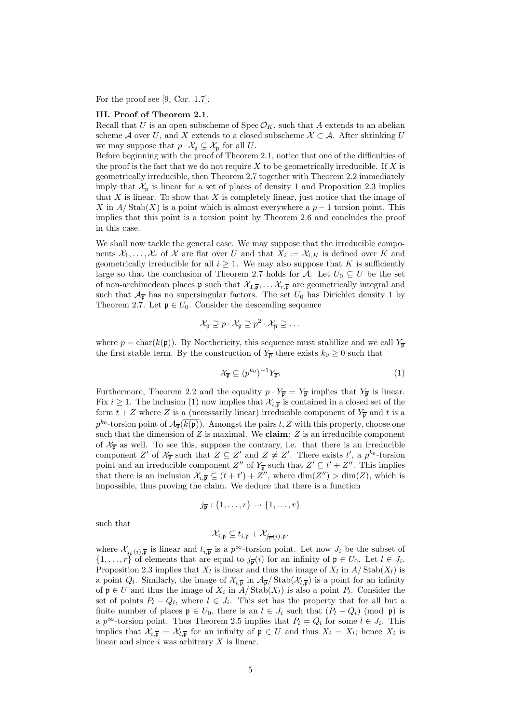For the proof see [9, Cor. 1.7].

#### III. Proof of Theorem 2.1.

Recall that U is an open subscheme of  $Spec \mathcal{O}_K$ , such that A extends to an abelian scheme A over U, and X extends to a closed subscheme  $\mathcal{X} \subset \mathcal{A}$ . After shrinking U we may suppose that  $p \cdot \mathcal{X}_{\overline{p}} \subseteq \mathcal{X}_{\overline{p}}$  for all U.

Before beginning with the proof of Theorem 2.1, notice that one of the difficulties of the proof is the fact that we do not require  $X$  to be geometrically irreducible. If  $X$  is geometrically irreducible, then Theorem 2.7 together with Theorem 2.2 immediately imply that  $\mathcal{X}_{\overline{\mathfrak{p}}}$  is linear for a set of places of density 1 and Proposition 2.3 implies that  $X$  is linear. To show that  $X$  is completely linear, just notice that the image of X in  $A/\text{Stab}(X)$  is a point which is almost everywhere a  $p-1$  torsion point. This implies that this point is a torsion point by Theorem 2.6 and concludes the proof in this case.

We shall now tackle the general case. We may suppose that the irreducible components  $\mathcal{X}_1, \ldots, \mathcal{X}_r$  of  $\mathcal X$  are flat over U and that  $X_i := \mathcal{X}_{i,K}$  is defined over K and geometrically irreducible for all  $i \geq 1$ . We may also suppose that K is sufficiently large so that the conclusion of Theorem 2.7 holds for A. Let  $U_0 \subseteq U$  be the set of non-archimedean places **p** such that  $\mathcal{X}_{1,\overline{p}}, \ldots \mathcal{X}_{r,\overline{p}}$  are geometrically integral and such that  $\mathcal{A}_{\overline{p}}$  has no supersingular factors. The set  $U_0$  has Dirichlet density 1 by Theorem 2.7. Let  $\mathfrak{p} \in U_0$ . Consider the descending sequence

$$
\mathcal{X}_{\overline{\mathfrak{p}}} \supseteq p \cdot \mathcal{X}_{\overline{\mathfrak{p}}} \supseteq p^2 \cdot \mathcal{X}_{\overline{\mathfrak{p}}} \supseteq \dots
$$

where  $p = \text{char}(k(\mathfrak{p}))$ . By Noethericity, this sequence must stabilize and we call  $Y_{\overline{p}}$ the first stable term. By the construction of  $Y_{\overline{p}}$  there exists  $k_0 \geq 0$  such that

$$
\mathcal{X}_{\overline{\mathfrak{p}}} \subseteq (p^{k_0})^{-1} Y_{\overline{\mathfrak{p}}}.\tag{1}
$$

Furthermore, Theorem 2.2 and the equality  $p \cdot Y_{\overline{p}} = Y_{\overline{p}}$  implies that  $Y_{\overline{p}}$  is linear. Fix  $i \geq 1$ . The inclusion (1) now implies that  $\mathcal{X}_{i,\overline{p}}$  is contained in a closed set of the form  $t + Z$  where Z is a (necessarily linear) irreducible component of  $Y_{\overline{p}}$  and t is a  $p^{k_0}$ -torsion point of  $\mathcal{A}_{\overline{p}}(\overline{k(p)})$ . Amongst the pairs t, Z with this property, choose one such that the dimension of  $Z$  is maximal. We claim:  $Z$  is an irreducible component of  $\mathcal{X}_{\overline{p}}$  as well. To see this, suppose the contrary, i.e. that there is an irreducible component Z' of  $\mathcal{X}_{\overline{p}}$  such that  $Z \subseteq Z'$  and  $Z \neq Z'$ . There exists  $t'$ , a  $p^{k_0}$ -torsion point and an irreducible component  $Z''$  of  $Y_{\overline{p}}$  such that  $Z' \subseteq t' + Z''$ . This implies that there is an inclusion  $\mathcal{X}_{i,\overline{p}} \subseteq (t + t') + Z''$ , where  $\dim(Z'') > \dim(Z)$ , which is impossible, thus proving the claim. We deduce that there is a function

$$
j_{\overline{\mathfrak{p}}}:\{1,\ldots,r\}\to\{1,\ldots,r\}
$$

such that

$$
\mathcal{X}_{i,\overline{\mathfrak{p}}}\subseteq t_{i,\overline{\mathfrak{p}}}+\mathcal{X}_{j_{\overline{\mathfrak{p}}}(i),\overline{\mathfrak{p}}}.
$$

where  $\mathcal{X}_{\overline{m}(i),\overline{p}}$  is linear and  $t_{i,\overline{p}}$  is a  $p^{\infty}$ -torsion point. Let now  $J_i$  be the subset of  $\{1, \ldots, r\}$  of elements that are equal to  $j_{\overline{p}}(i)$  for an infinity of  $\mathfrak{p} \in U_0$ . Let  $l \in J_i$ . Proposition 2.3 implies that  $X_l$  is linear and thus the image of  $X_l$  in  $A/\text{Stab}(X_l)$  is a point  $Q_l$ . Similarly, the image of  $\mathcal{X}_{i,\overline{p}}$  in  $\mathcal{A}_{\overline{p}}/\text{Stab}(\mathcal{X}_{l,\overline{p}})$  is a point for an infinity of  $\mathfrak{p} \in U$  and thus the image of  $X_i$  in  $A/\text{Stab}(X_i)$  is also a point  $P_i$ . Consider the set of points  $P_l - Q_l$ , where  $l \in J_i$ . This set has the property that for all but a finite number of places  $\mathfrak{p} \in U_0$ , there is an  $l \in J_i$  such that  $(P_l - Q_l) \pmod{\mathfrak{p}}$  is a  $p^{\infty}$ -torsion point. Thus Theorem 2.5 implies that  $P_l = Q_l$  for some  $l \in J_i$ . This implies that  $\mathcal{X}_{i,\overline{p}} = \mathcal{X}_{l,\overline{p}}$  for an infinity of  $p \in U$  and thus  $X_i = X_l$ ; hence  $X_i$  is linear and since  $i$  was arbitrary  $X$  is linear.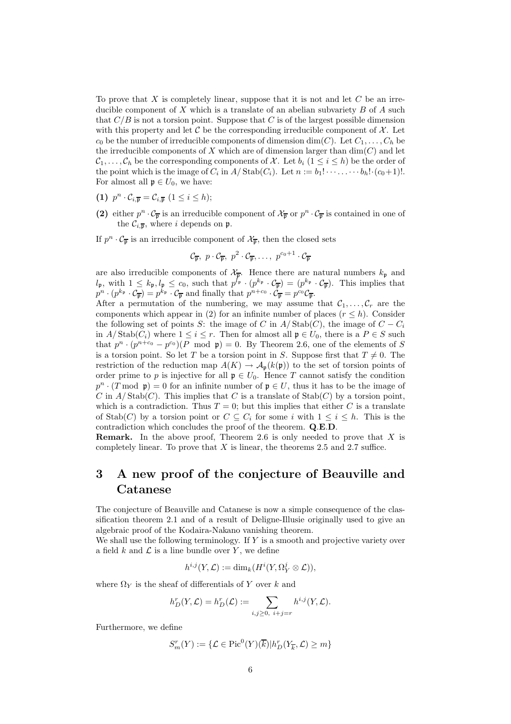To prove that  $X$  is completely linear, suppose that it is not and let  $C$  be an irreducible component of  $X$  which is a translate of an abelian subvariety  $B$  of  $A$  such that  $C/B$  is not a torsion point. Suppose that C is of the largest possible dimension with this property and let  $\mathcal C$  be the corresponding irreducible component of  $\mathcal X$ . Let  $c_0$  be the number of irreducible components of dimension dim(C). Let  $C_1, \ldots, C_h$  be the irreducible components of X which are of dimension larger than  $dim(C)$  and let  $\mathcal{C}_1,\ldots,\mathcal{C}_h$  be the corresponding components of X. Let  $b_i$  ( $1\leq i\leq h$ ) be the order of the point which is the image of  $C_i$  in  $A/\text{Stab}(C_i)$ . Let  $n := b_1! \cdots \cdots b_h! \cdot (c_0+1)!$ . For almost all  $\mathfrak{p} \in U_0$ , we have:

- (1)  $p^n \cdot C_{i,\overline{p}} = C_{i,\overline{p}} \ (1 \leq i \leq h);$
- (2) either  $p^n \cdot C_{\overline{p}}$  is an irreducible component of  $\mathcal{X}_{\overline{p}}$  or  $p^n \cdot C_{\overline{p}}$  is contained in one of the  $\mathcal{C}_{i,\overline{\mathfrak{p}}},$  where i depends on p.

If  $p^n \cdot C_{\overline{p}}$  is an irreducible component of  $\mathcal{X}_{\overline{p}}$ , then the closed sets

$$
\mathcal{C}_{\overline{\mathfrak{p}}}, p \cdot \mathcal{C}_{\overline{\mathfrak{p}}}, p^2 \cdot \mathcal{C}_{\overline{\mathfrak{p}}}, \ldots, p^{c_0+1} \cdot \mathcal{C}_{\overline{\mathfrak{p}}}
$$

are also irreducible components of  $\mathcal{X}_{\overline{p}}$ . Hence there are natural numbers  $k_{\mathfrak{p}}$  and  $l_{\mathfrak{p}}$ , with  $1 \leq k_{\mathfrak{p}}, l_{\mathfrak{p}} \leq c_0$ , such that  $p^{l_{\mathfrak{p}}} \cdot (p^{k_{\mathfrak{p}}} \cdot C_{\overline{\mathfrak{p}}}) = (p^{k_{\mathfrak{p}}} \cdot C_{\overline{\mathfrak{p}}})$ . This implies that  $p^n \cdot (p^{k_{\mathfrak{p}}} \cdot C_{\overline{\mathfrak{p}}}) = p^{k_{\mathfrak{p}}} \cdot C_{\overline{\mathfrak{p}}}$  and finally that  $p^{n+c_0} \cdot C_{\overline{\mathfrak{p}}} = p^{c_0} C_{\overline{\mathfrak{p}}}$ .

After a permutation of the numbering, we may assume that  $C_1, \ldots, C_r$  are the components which appear in (2) for an infinite number of places  $(r \leq h)$ . Consider the following set of points S: the image of C in  $A/\text{Stab}(C)$ , the image of  $C - C_i$ in  $A/\text{Stab}(C_i)$  where  $1 \leq i \leq r$ . Then for almost all  $\mathfrak{p} \in U_0$ , there is a  $P \in S$  such that  $p^{n} \cdot (p^{n+c_0} - p^{c_0})(P \mod p) = 0$ . By Theorem 2.6, one of the elements of S is a torsion point. So let T be a torsion point in S. Suppose first that  $T \neq 0$ . The restriction of the reduction map  $A(K) \to \mathcal{A}_{\mathfrak{p}}(k(\mathfrak{p}))$  to the set of torsion points of order prime to p is injective for all  $\mathfrak{p} \in U_0$ . Hence T cannot satisfy the condition  $p^{n} \cdot (T \mod p) = 0$  for an infinite number of  $p \in U$ , thus it has to be the image of C in  $A/\text{Stab}(C)$ . This implies that C is a translate of  $\text{Stab}(C)$  by a torsion point, which is a contradiction. Thus  $T = 0$ ; but this implies that either C is a translate of Stab(C) by a torsion point or  $C \subseteq C_i$  for some i with  $1 \leq i \leq h$ . This is the contradiction which concludes the proof of the theorem. Q.E.D.

**Remark.** In the above proof, Theorem 2.6 is only needed to prove that  $X$  is completely linear. To prove that  $X$  is linear, the theorems 2.5 and 2.7 suffice.

# 3 A new proof of the conjecture of Beauville and Catanese

The conjecture of Beauville and Catanese is now a simple consequence of the classification theorem 2.1 and of a result of Deligne-Illusie originally used to give an algebraic proof of the Kodaira-Nakano vanishing theorem.

We shall use the following terminology. If  $Y$  is a smooth and projective variety over a field  $k$  and  $\mathcal L$  is a line bundle over Y, we define

$$
h^{i,j}(Y,\mathcal{L}):=\dim_k(H^i(Y,\Omega^j_Y\otimes\mathcal{L})),
$$

where  $\Omega_Y$  is the sheaf of differentials of Y over k and

$$
h_D^r(Y, \mathcal{L}) = h_D^r(\mathcal{L}) := \sum_{i,j \geq 0, i+j=r} h^{i,j}(Y, \mathcal{L}).
$$

Furthermore, we define

$$
S_m^r(Y) := \{ \mathcal{L} \in \text{Pic}^0(Y)(\overline{k}) | h_D^r(Y_{\overline{k}}, \mathcal{L}) \ge m \}
$$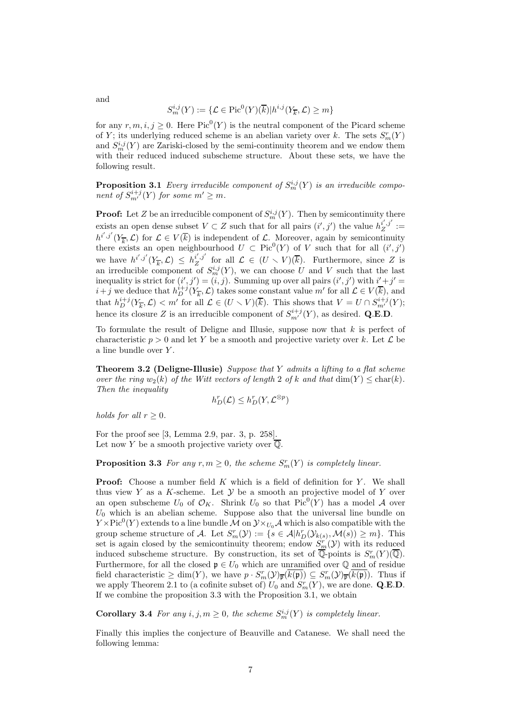$$
S^{i,j}_m(Y):=\{\mathcal{L}\in \text{Pic}^0(Y)(\overline{k})| h^{i,j}(Y_{\overline{k}},\mathcal{L})\geq m\}
$$

for any  $r, m, i, j \geq 0$ . Here  $Pic^0(Y)$  is the neutral component of the Picard scheme of Y; its underlying reduced scheme is an abelian variety over k. The sets  $S_m^r(Y)$ and  $S_m^{i,j}(Y)$  are Zariski-closed by the semi-continuity theorem and we endow them with their reduced induced subscheme structure. About these sets, we have the following result.

**Proposition 3.1** Every irreducible component of  $S_m^{i,j}(Y)$  is an irreducible component of  $S^{i+j}_{m'}(Y)$  for some  $m' \geq m$ .

**Proof:** Let Z be an irreducible component of  $S_m^{i,j}(Y)$ . Then by semicontinuity there exists an open dense subset  $V \subset Z$  such that for all pairs  $(i', j')$  the value  $h^{i', j'}_{Z} :=$  $h^{i',j'}(Y_{\overline{k}},\mathcal{L})$  for  $\mathcal{L} \in V(\overline{k})$  is independent of  $\mathcal{L}$ . Moreover, again by semicontinuity there exists an open neighbourhood  $U \subset Pic^{0}(Y)$  of V such that for all  $(i', j')$ we have  $h^{i',j'}(Y_{\overline{k}},\mathcal{L}) \leq h^{i',j'}_{Z}$  for all  $\mathcal{L} \in (U \setminus V)(\overline{k})$ . Furthermore, since Z is an irreducible component of  $S_m^{i,j}(Y)$ , we can choose U and V such that the last inequality is strict for  $(i', j') = (i, j)$ . Summing up over all pairs  $(i', j')$  with  $i' + j' =$  $i+j$  we deduce that  $h_D^{i+j}(Y_{\overline{k}},\mathcal{L})$  takes some constant value m' for all  $\mathcal{L} \in V(\overline{k})$ , and that  $h_D^{i+j}(Y_{\overline{k}}, \mathcal{L}) < m'$  for all  $\mathcal{L} \in (U \setminus V)(\overline{k})$ . This shows that  $V = U \cap S_{m'}^{i+j}(Y)$ ; hence its closure Z is an irreducible component of  $S^{i+j}_{m'}(Y)$ , as desired. Q.E.D.

To formulate the result of Deligne and Illusie, suppose now that  $k$  is perfect of characteristic  $p > 0$  and let Y be a smooth and projective variety over k. Let  $\mathcal L$  be a line bundle over Y.

Theorem 3.2 (Deligne-Illusie) Suppose that Y admits a lifting to a flat scheme over the ring  $w_2(k)$  of the Witt vectors of length 2 of k and that  $\dim(Y) \leq \text{char}(k)$ . Then the inequality

$$
h_D^r(\mathcal{L}) \leq h_D^r(Y, \mathcal{L}^{\otimes p})
$$

holds for all  $r > 0$ .

For the proof see [3, Lemma 2.9, par. 3, p. 258]. Let now Y be a smooth projective variety over  $\overline{\mathbb{Q}}$ .

**Proposition 3.3** For any  $r, m \geq 0$ , the scheme  $S_m^r(Y)$  is completely linear.

**Proof:** Choose a number field  $K$  which is a field of definition for  $Y$ . We shall thus view  $Y$  as a  $K$ -scheme. Let  $Y$  be a smooth an projective model of  $Y$  over an open subscheme  $U_0$  of  $\mathcal{O}_K$ . Shrink  $U_0$  so that  $Pic^0(Y)$  has a model A over  $U_0$  which is an abelian scheme. Suppose also that the universal line bundle on  $Y \times Pic^0(Y)$  extends to a line bundle  $\mathcal M$  on  ${\mathcal Y} \times_{U_0} \mathcal A$  which is also compatible with the group scheme structure of A. Let  $S_m^r(\mathcal{Y}) := \{ s \in \mathcal{A} | h_D^r(\mathcal{Y}_{k(s)}, \mathcal{M}(s)) \geq m \}.$  This set is again closed by the semicontinuity theorem; endow  $S_{m}^{r}(\mathcal{Y})$  with its reduced induced subscheme structure. By construction, its set of  $\overline{\mathbb{Q}}$ -points is  $S_m^r(Y)(\overline{\mathbb{Q}})$ . Furthermore, for all the closed  $\mathfrak{p} \in U_0$  which are unramified over  $\mathbb Q$  and of residue field characteristic  $\geq \dim(Y)$ , we have  $p \cdot S_m^r(\mathcal{Y})_{\overline{\mathfrak{p}}}(k(\mathfrak{p})) \subseteq S_m^r(\mathcal{Y})_{\overline{\mathfrak{p}}}(k(\mathfrak{p}))$ . Thus if we apply Theorem 2.1 to (a cofinite subset of)  $U_0$  and  $S_m^r(Y)$ , we are done. Q.E.D. If we combine the proposition 3.3 with the Proposition 3.1, we obtain

**Corollary 3.4** For any  $i, j, m \ge 0$ , the scheme  $S_m^{i,j}(Y)$  is completely linear.

Finally this implies the conjecture of Beauville and Catanese. We shall need the following lemma:

and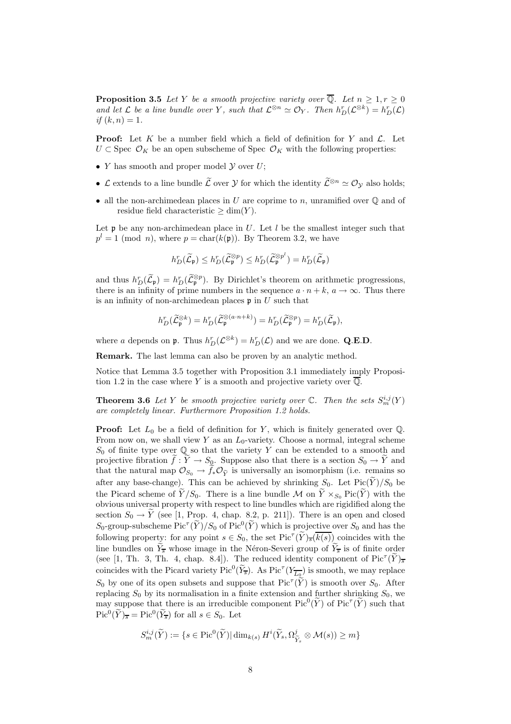**Proposition 3.5** Let Y be a smooth projective variety over  $\overline{Q}$ . Let  $n \geq 1, r \geq 0$ and let  $\mathcal L$  be a line bundle over Y, such that  $\mathcal L^{\otimes n} \simeq \mathcal O_Y$ . Then  $h_D^r(\mathcal L^{\otimes k}) = h_D^r(\mathcal L)$ if  $(k, n) = 1$ .

**Proof:** Let K be a number field which a field of definition for Y and  $\mathcal{L}$ . Let  $U \subset \text{Spec } \mathcal{O}_K$  be an open subscheme of Spec  $\mathcal{O}_K$  with the following properties:

- Y has smooth and proper model  $\mathcal Y$  over  $U$ ;
- L extends to a line bundle  $\widetilde{\mathcal{L}}$  over  $\mathcal{Y}$  for which the identity  $\widetilde{\mathcal{L}}^{\otimes n} \simeq \mathcal{O}_{\mathcal{V}}$  also holds;
- all the non-archimedean places in U are coprime to n, unramified over  $\mathbb{Q}$  and of residue field characteristic  $\geq \dim(Y)$ .

Let  $\mathfrak p$  be any non-archimedean place in U. Let l be the smallest integer such that  $p^l = 1 \pmod{n}$ , where  $p = \text{char}(k(\mathfrak{p}))$ . By Theorem 3.2, we have

$$
h_D^r(\widetilde{\mathcal{L}}_{\mathfrak{p}}) \leq h_D^r(\widetilde{\mathcal{L}}_{\mathfrak{p}}^{\otimes p}) \leq h_D^r(\widetilde{\mathcal{L}}_{\mathfrak{p}}^{\otimes p^l}) = h_D^r(\widetilde{\mathcal{L}}_{\mathfrak{p}})
$$

and thus  $h_D^r(\widetilde{\mathcal{L}}_{\mathfrak{p}}) = h_D^r(\widetilde{\mathcal{L}}_{\mathfrak{p}}^{\otimes p})$ . By Dirichlet's theorem on arithmetic progressions, there is an infinity of prime numbers in the sequence  $a \cdot n + k$ ,  $a \to \infty$ . Thus there is an infinity of non-archimedean places  $\mathfrak p$  in U such that

$$
h_D^r(\widetilde{\mathcal{L}}_{\mathfrak{p}}^{\otimes k}) = h_D^r(\widetilde{\mathcal{L}}_{\mathfrak{p}}^{\otimes (a \cdot n + k)}) = h_D^r(\widetilde{\mathcal{L}}_{\mathfrak{p}}^{\otimes p}) = h_D^r(\widetilde{\mathcal{L}}_{\mathfrak{p}}),
$$

where a depends on **p**. Thus  $h_D^r(\mathcal{L}^{\otimes k}) = h_D^r(\mathcal{L})$  and we are done. **Q.E.D.** 

Remark. The last lemma can also be proven by an analytic method.

Notice that Lemma 3.5 together with Proposition 3.1 immediately imply Proposition 1.2 in the case where Y is a smooth and projective variety over  $\overline{\mathbb{Q}}$ .

**Theorem 3.6** Let Y be smooth projective variety over  $\mathbb{C}$ . Then the sets  $S_m^{i,j}(Y)$ are completely linear. Furthermore Proposition 1.2 holds.

**Proof:** Let  $L_0$  be a field of definition for Y, which is finitely generated over  $\mathbb{Q}$ . From now on, we shall view Y as an  $L_0$ -variety. Choose a normal, integral scheme  $S_0$  of finite type over  $\mathbb Q$  so that the variety Y can be extended to a smooth and projective fibration  $f: Y \to S_0$ . Suppose also that there is a section  $S_0 \to Y$  and that the natural map  $\mathcal{O}_{S_0} \to f_* \mathcal{O}_{\widetilde{Y}}$  is universally an isomorphism (i.e. remains so after any base-change). This can be achieved by shrinking  $S_0$ . Let  $Pic(Y)/S_0$  be the Picard scheme of  $\tilde{Y}/S_0$ . There is a line bundle M on  $\tilde{Y} \times_{S_0} \text{Pic}(\tilde{Y})$  with the obvious universal property with respect to line bundles which are rigidified along the section  $S_0 \to \tilde{Y}$  (see [1, Prop. 4, chap. 8.2, p. 211]). There is an open and closed  $S_0$ -group-subscheme  $\text{Pic}^{\tau}(\widetilde{Y})/S_0$  of  $\text{Pic}^0(\widetilde{Y})$  which is projective over  $S_0$  and has the following property: for any point  $s \in S_0$ , the set  $\text{Pic}^{\tau}(\widetilde{Y})_{\overline{s}}(\overline{k(s)})$  coincides with the line bundles on  $Y_{\overline{s}}$  whose image in the Néron-Severi group of  $\overline{Y_{\overline{s}}}$  is of finite order (see [1, Th. 3, Th. 4, chap. 8.4]). The reduced identity component of  $\text{Pic}^{\tau}(\widetilde{Y})_{\overline{s}}$ coincides with the Picard variety  $Pic^0(\widetilde{Y}_{\overline{s}})$ . As  $Pic^{\tau}(Y_{\overline{L_0}})$  is smooth, we may replace  $S_0$  by one of its open subsets and suppose that  $Pic^{T}(\widetilde{Y})$  is smooth over  $S_0$ . After replacing  $S_0$  by its normalisation in a finite extension and further shrinking  $S_0$ , we may suppose that there is an irreducible component  $Pic^0(\widetilde{Y})$  of  $Pic^{\tau}(\widetilde{Y})$  such that  $\operatorname{Pic}^0(\widetilde{Y})_{\overline{s}} = \operatorname{Pic}^0(\widetilde{Y}_{\overline{s}})$  for all  $s \in S_0$ . Let

$$
S_m^{i,j}(\widetilde{Y}) := \{ s \in \text{Pic}^0(\widetilde{Y}) | \dim_{k(s)} H^i(\widetilde{Y}_s, \Omega_{\widetilde{Y}_s}^j \otimes \mathcal{M}(s)) \ge m \}
$$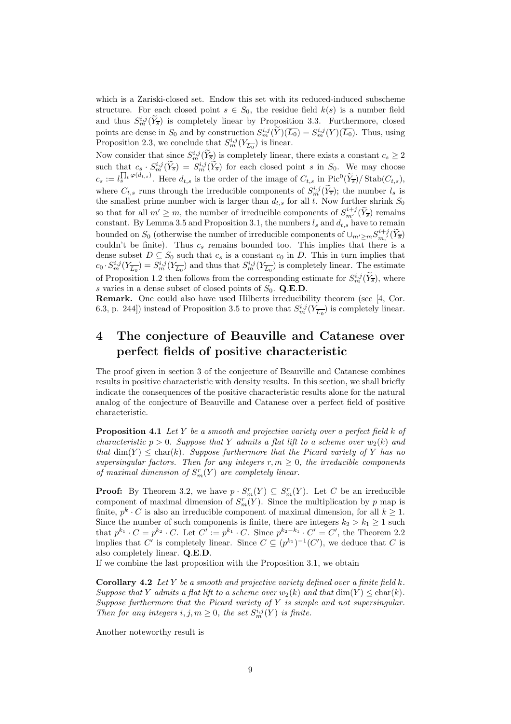which is a Zariski-closed set. Endow this set with its reduced-induced subscheme structure. For each closed point  $s \in S_0$ , the residue field  $k(s)$  is a number field and thus  $S_m^{i,j}(\tilde{Y}_{\overline{s}})$  is completely linear by Proposition 3.3. Furthermore, closed points are dense in  $S_0$  and by construction  $S_m^{i,j}(\tilde{Y})(\overline{L_0}) = S_m^{i,j}(Y)(\overline{L_0})$ . Thus, using Proposition 2.3, we conclude that  $S_m^{i,j}(Y_{\overline{L_0}})$  is linear.

Now consider that since  $S_m^{i,j}(\widetilde{Y}_{\overline{s}})$  is completely linear, there exists a constant  $c_s \geq 2$ such that  $c_s \cdot S_m^{i,j}(\overline{Y}_{\overline{s}}) = S_m^{i,j}(\overline{Y}_{\overline{s}})$  for each closed point s in  $S_0$ . We may choose  $c_s := l_s^{\prod_t \varphi(d_{t,s})}$ . Here  $d_{t,s}$  is the order of the image of  $C_{t,s}$  in  $Pic^0(\widetilde{Y}_{\overline{s}})/\operatorname{Stab}(C_{t,s}),$ where  $C_{t,s}$  runs through the irreducible components of  $S_m^{i,j}(\widetilde{Y}_{\overline{s}})$ ; the number  $l_s$  is the smallest prime number wich is larger than  $d_{t,s}$  for all t. Now further shrink  $S_0$ so that for all  $m' \geq m$ , the number of irreducible components of  $S_{m'}^{i+j}(\widetilde{Y}_{\overline{s}})$  remains constant. By Lemma 3.5 and Proposition 3.1, the numbers  $l_s$  and  $d_{t,s}$  have to remain bounded on  $S_0$  (otherwise the number of irreducible components of  $\cup_{m'\geq m} S^{i+j}_{m'}(\widetilde{Y}_{\overline{s}})$ couldn't be finite). Thus  $c_s$  remains bounded too. This implies that there is a dense subset  $D \subseteq S_0$  such that  $c_s$  is a constant  $c_0$  in D. This in turn implies that  $c_0 \cdot S_m^{i,j}(Y_{\overline{L_0}}) = S_m^{i,j}(Y_{\overline{L_0}})$  and thus that  $S_m^{i,j}(Y_{\overline{L_0}})$  is completely linear. The estimate of Proposition 1.2 then follows from the corresponding estimate for  $S_m^{i,j}(\tilde{Y}_{\overline{s}})$ , where s varies in a dense subset of closed points of  $S_0$ . Q.E.D.

Remark. One could also have used Hilberts irreducibility theorem (see [4, Cor. 6.3, p. 244]) instead of Proposition 3.5 to prove that  $S_m^{i,j}(Y_{\overline{L_0}})$  is completely linear.

# 4 The conjecture of Beauville and Catanese over perfect fields of positive characteristic

The proof given in section 3 of the conjecture of Beauville and Catanese combines results in positive characteristic with density results. In this section, we shall briefly indicate the consequences of the positive characteristic results alone for the natural analog of the conjecture of Beauville and Catanese over a perfect field of positive characteristic.

**Proposition 4.1** Let Y be a smooth and projective variety over a perfect field  $k$  of characteristic  $p > 0$ . Suppose that Y admits a flat lift to a scheme over  $w_2(k)$  and that  $\dim(Y) \leq \text{char}(k)$ . Suppose furthermore that the Picard variety of Y has no supersingular factors. Then for any integers  $r, m \geq 0$ , the irreducible components of maximal dimension of  $S_m^r(Y)$  are completely linear.

**Proof:** By Theorem 3.2, we have  $p \cdot S_m^r(Y) \subseteq S_m^r(Y)$ . Let C be an irreducible component of maximal dimension of  $S_m^r(Y)$ . Since the multiplication by p map is finite,  $p^k \cdot C$  is also an irreducible component of maximal dimension, for all  $k \geq 1$ . Since the number of such components is finite, there are integers  $k_2 > k_1 \geq 1$  such that  $p^{k_1} \cdot C = p^{k_2} \cdot C$ . Let  $C' := p^{k_1} \cdot C$ . Since  $p^{k_2 - k_1} \cdot C' = C'$ , the Theorem 2.2 implies that C' is completely linear. Since  $C \subseteq (p^{k_1})^{-1}(C')$ , we deduce that C is also completely linear. Q.E.D.

If we combine the last proposition with the Proposition 3.1, we obtain

**Corollary 4.2** Let Y be a smooth and projective variety defined over a finite field  $k$ . Suppose that Y admits a flat lift to a scheme over  $w_2(k)$  and that  $\dim(Y) \leq \text{char}(k)$ . Suppose furthermore that the Picard variety of  $Y$  is simple and not supersingular. Then for any integers  $i, j, m \geq 0$ , the set  $S_m^{i,j}(Y)$  is finite.

Another noteworthy result is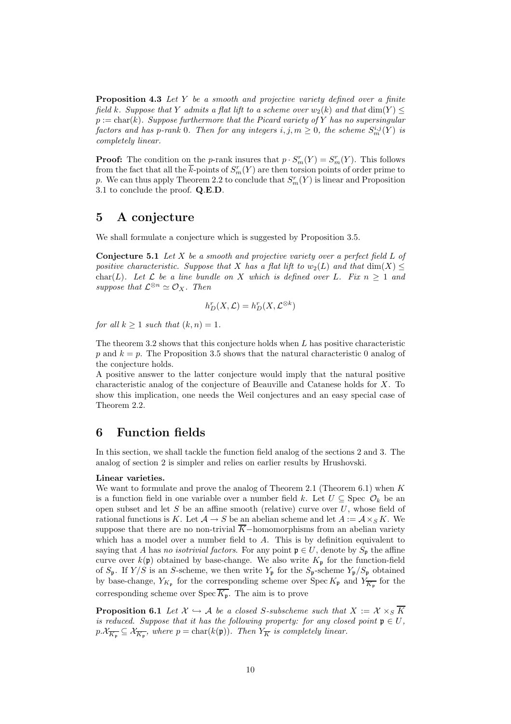Proposition 4.3 Let Y be a smooth and projective variety defined over a finite field k. Suppose that Y admits a flat lift to a scheme over  $w_2(k)$  and that  $\dim(Y)$  $p := char(k)$ . Suppose furthermore that the Picard variety of Y has no supersingular factors and has p-rank 0. Then for any integers  $i, j, m \ge 0$ , the scheme  $S_m^{i,j}(Y)$  is completely linear.

**Proof:** The condition on the *p*-rank insures that  $p \cdot S_m^r(Y) = S_m^r(Y)$ . This follows from the fact that all the  $\bar{k}$ -points of  $S_m^r(Y)$  are then torsion points of order prime to p. We can thus apply Theorem 2.2 to conclude that  $S_m^r(Y)$  is linear and Proposition 3.1 to conclude the proof. Q.E.D.

## 5 A conjecture

We shall formulate a conjecture which is suggested by Proposition 3.5.

**Conjecture 5.1** Let  $X$  be a smooth and projective variety over a perfect field  $L$  of positive characteristic. Suppose that X has a flat lift to  $w_2(L)$  and that  $dim(X) \leq$ char(L). Let  $\mathcal L$  be a line bundle on X which is defined over L. Fix  $n \geq 1$  and suppose that  $\mathcal{L}^{\otimes n} \simeq \mathcal{O}_X$ . Then

$$
h_D^r(X, \mathcal{L}) = h_D^r(X, \mathcal{L}^{\otimes k})
$$

for all  $k \geq 1$  such that  $(k, n) = 1$ .

The theorem 3.2 shows that this conjecture holds when  $L$  has positive characteristic p and  $k = p$ . The Proposition 3.5 shows that the natural characteristic 0 analog of the conjecture holds.

A positive answer to the latter conjecture would imply that the natural positive characteristic analog of the conjecture of Beauville and Catanese holds for X. To show this implication, one needs the Weil conjectures and an easy special case of Theorem 2.2.

## 6 Function fields

In this section, we shall tackle the function field analog of the sections 2 and 3. The analog of section 2 is simpler and relies on earlier results by Hrushovski.

### Linear varieties.

We want to formulate and prove the analog of Theorem 2.1 (Theorem 6.1) when  $K$ is a function field in one variable over a number field k. Let  $U \subseteq$  Spec  $\mathcal{O}_k$  be an open subset and let  $S$  be an affine smooth (relative) curve over  $U$ , whose field of rational functions is K. Let  $A \to S$  be an abelian scheme and let  $A := A \times_S K$ . We suppose that there are no non-trivial  $\overline{K}$ -homomorphisms from an abelian variety which has a model over a number field to A. This is by definition equivalent to saying that A has no isotrivial factors. For any point  $\mathfrak{p} \in U$ , denote by  $S_{\mathfrak{p}}$  the affine curve over  $k(\mathfrak{p})$  obtained by base-change. We also write  $K_{\mathfrak{p}}$  for the function-field of  $S_p$ . If  $Y/S$  is an S-scheme, we then write  $Y_p$  for the  $S_p$ -scheme  $Y_p/S_p$  obtained by base-change,  $Y_{K_{\mathfrak{p}}}$  for the corresponding scheme over  $\text{Spec } K_{\mathfrak{p}}$  and  $Y_{\overline{K_{\mathfrak{p}}}}$  for the corresponding scheme over  $Spec \overline{K_{\mathfrak{p}}}$ . The aim is to prove

**Proposition 6.1** Let  $X \hookrightarrow \mathcal{A}$  be a closed S-subscheme such that  $X := X \times_S \overline{K}$ is reduced. Suppose that it has the following property: for any closed point  $\mathfrak{p} \in U$ ,  $p.\mathcal{X}_{\overline{K_{\mathfrak{p}}}} \subseteq \mathcal{X}_{\overline{K_{\mathfrak{p}}}},$  where  $p = \text{char}(k(\mathfrak{p}))$ . Then  $Y_{\overline{K}}$  is completely linear.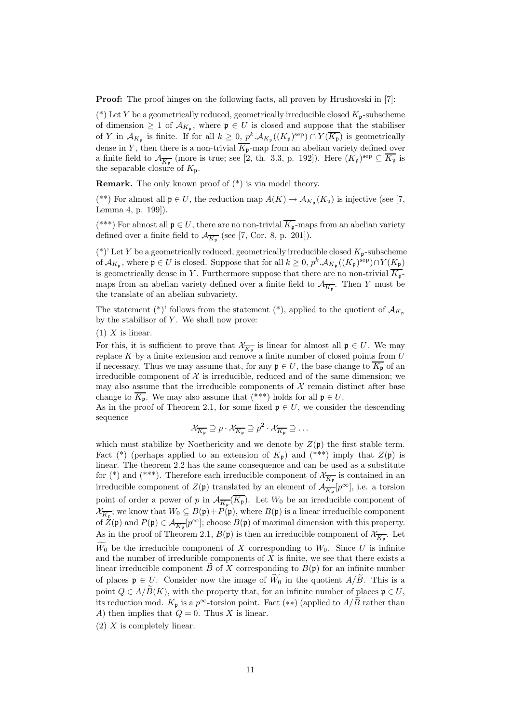Proof: The proof hinges on the following facts, all proven by Hrushovski in [7]:

(\*) Let Y be a geometrically reduced, geometrically irreducible closed  $K_{\mathfrak{p}}$ -subscheme of dimension  $\geq 1$  of  $\mathcal{A}_{K_{\mathfrak{p}}},$  where  $\mathfrak{p} \in U$  is closed and suppose that the stabiliser of Y in  $\mathcal{A}_{K_{\mathfrak{p}}}$  is finite. If for all  $k \geq 0$ ,  $p^k \mathcal{A}_{K_{\mathfrak{p}}}((K_{\mathfrak{p}})^{\text{sep}}) \cap Y(\overline{K_{\mathfrak{p}}})$  is geometrically dense in Y, then there is a non-trivial  $\overline{K_{p}}$ -map from an abelian variety defined over a finite field to  $\mathcal{A}_{\overline{K_{\mathfrak{p}}}}$  (more is true; see [2, th. 3.3, p. 192]). Here  $(K_{\mathfrak{p}})^{\text{sep}} \subseteq \overline{K_{\mathfrak{p}}}$  is the separable closure of  $K_{\mathfrak{p}}$ .

**Remark.** The only known proof of  $(*)$  is via model theory.

(\*\*) For almost all  $\mathfrak{p} \in U$ , the reduction map  $A(K) \to \mathcal{A}_{K_{\mathfrak{p}}}(K_{\mathfrak{p}})$  is injective (see [7, Lemma 4, p. 199]).

(\*\*\*) For almost all  $\mathfrak{p} \in U$ , there are no non-trivial  $\overline{K_{\mathfrak{p}}}$ -maps from an abelian variety defined over a finite field to  $\mathcal{A}_{\overline{K_{\mathfrak{p}}}}$  (see [7, Cor. 8, p. 201]).

(\*)' Let Y be a geometrically reduced, geometrically irreducible closed  $K_{p}$ -subscheme of  $\mathcal{A}_{K_{\mathfrak{p}}},$  where  $\mathfrak{p} \in U$  is closed. Suppose that for all  $k \geq 0$ ,  $p^k \cdot \mathcal{A}_{K_{\mathfrak{p}}}((K_{\mathfrak{p}})^{\text{sep}}) \cap Y(\overline{K_{\mathfrak{p}}})$ is geometrically dense in Y. Furthermore suppose that there are no non-trivial  $\overline{K_{\mathfrak{p}}}$ maps from an abelian variety defined over a finite field to  $\mathcal{A}_{\overline{K_{\mathfrak{p}}}}$ . Then Y must be the translate of an abelian subvariety.

The statement (\*)' follows from the statement (\*), applied to the quotient of  $\mathcal{A}_{K_{\mathfrak{p}}}$ by the stabilisor of  $Y$ . We shall now prove:

 $(1)$  X is linear.

For this, it is sufficient to prove that  $\mathcal{X}_{\overline{K_{\mathfrak{p}}}}$  is linear for almost all  $\mathfrak{p} \in U$ . We may replace K by a finite extension and remove a finite number of closed points from  $U$ if necessary. Thus we may assume that, for any  $\mathfrak{p} \in U$ , the base change to  $\overline{K_{\mathfrak{p}}}$  of an irreducible component of  $X$  is irreducible, reduced and of the same dimension; we may also assume that the irreducible components of  $X$  remain distinct after base change to  $\overline{K_{\mathfrak{p}}}$ . We may also assume that (\*\*\*) holds for all  $\mathfrak{p} \in U$ .

As in the proof of Theorem 2.1, for some fixed  $\mathfrak{p} \in U$ , we consider the descending sequence

$$
\mathcal{X}_{\overline{K_{\mathfrak{p}}}} \supseteq p \cdot \mathcal{X}_{\overline{K_{\mathfrak{p}}}} \supseteq p^2 \cdot \mathcal{X}_{\overline{K_{\mathfrak{p}}}} \supseteq \dots
$$

which must stabilize by Noethericity and we denote by  $Z(\mathfrak{p})$  the first stable term. Fact (\*) (perhaps applied to an extension of  $K_p$ ) and (\*\*\*) imply that  $Z(p)$  is linear. The theorem 2.2 has the same consequence and can be used as a substitute for (\*) and (\*\*\*). Therefore each irreducible component of  $\mathcal{X}_{\overline{K_{\mathfrak{p}}}}$  is contained in an irreducible component of  $Z(\mathfrak{p})$  translated by an element of  $\mathcal{A}_{\overline{K}_{\mathfrak{p}}}[p^{\infty}]$ , i.e. a torsion point of order a power of p in  $\mathcal{A}_{\overline{K_{\mathfrak{p}}}}(K_{\mathfrak{p}})$ . Let  $W_0$  be an irreducible component of  $\mathcal{X}_{\overline{K_{\mathfrak{p}}}}$ ; we know that  $W_0 \subseteq B(\mathfrak{p}) + P(\mathfrak{p})$ , where  $B(\mathfrak{p})$  is a linear irreducible component of  $Z(\mathfrak{p})$  and  $P(\mathfrak{p}) \in \mathcal{A}_{\overline{K_{\mathfrak{p}}}}[p^{\infty}]$ ; choose  $B(\mathfrak{p})$  of maximal dimension with this property. As in the proof of Theorem 2.1,  $B(\mathfrak{p})$  is then an irreducible component of  $\mathcal{X}_{\overline{K_{\mathfrak{p}}}}$ . Let  $W_0$  be the irreducible component of X corresponding to  $W_0$ . Since U is infinite and the number of irreducible components of  $X$  is finite, we see that there exists a linear irreducible component  $\ddot{B}$  of X corresponding to  $B(\mathfrak{p})$  for an infinite number of places  $\mathfrak{p} \in U$ . Consider now the image of  $\widetilde{W}_0$  in the quotient  $A/\widetilde{B}$ . This is a point  $Q \in A/\widetilde{B}(K)$ , with the property that, for an infinite number of places  $\mathfrak{p} \in U$ , its reduction mod.  $K_p$  is a  $p^{\infty}$ -torsion point. Fact (\*\*) (applied to  $A/B$  rather than A) then implies that  $Q = 0$ . Thus X is linear.

(2) X is completely linear.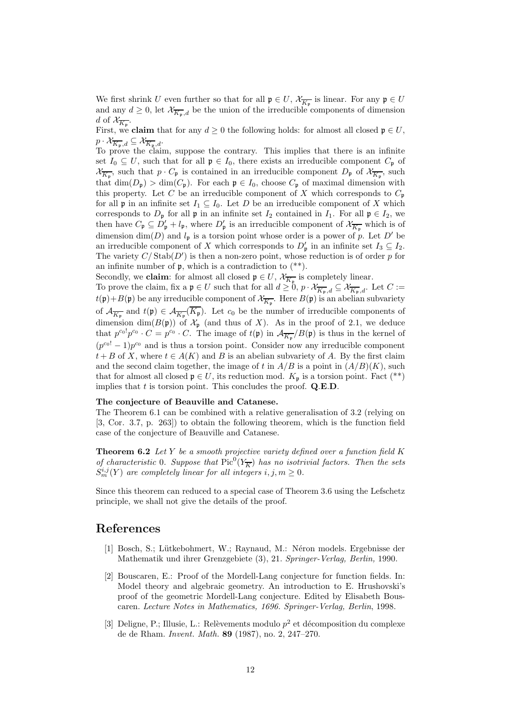We first shrink U even further so that for all  $\mathfrak{p} \in U$ ,  $\mathcal{X}_{\overline{K_{\mathfrak{p}}}}$  is linear. For any  $\mathfrak{p} \in U$ and any  $d \geq 0$ , let  $\mathcal{X}_{\overline{K_p},d}$  be the union of the irreducible components of dimension d of  $\mathcal{X}_{\overline{K_{\mathfrak{p}}}}$ .

First, we **claim** that for any  $d \geq 0$  the following holds: for almost all closed  $\mathfrak{p} \in U$ ,  $p \cdot \mathcal{X}_{\overline{K_{\mathfrak{p}}},d} \subseteq \mathcal{X}_{\overline{K_{\mathfrak{p}}},d}.$ 

To prove the claim, suppose the contrary. This implies that there is an infinite set  $I_0 \subseteq U$ , such that for all  $\mathfrak{p} \in I_0$ , there exists an irreducible component  $C_{\mathfrak{p}}$  of  $\mathcal{X}_{\overline{K_{\mathfrak{p}}}}$ , such that  $p \cdot C_{\mathfrak{p}}$  is contained in an irreducible component  $D_{\mathfrak{p}}$  of  $\mathcal{X}_{\overline{K_{\mathfrak{p}}}}$ , such that  $\dim(D_p) > \dim(C_p)$ . For each  $p \in I_0$ , choose  $C_p$  of maximal dimension with this property. Let C be an irreducible component of X which corresponds to  $C_p$ for all **p** in an infinite set  $I_1 \subseteq I_0$ . Let D be an irreducible component of X which corresponds to  $D_{\mathfrak{p}}$  for all  $\mathfrak{p}$  in an infinite set  $I_2$  contained in  $I_1$ . For all  $\mathfrak{p} \in I_2$ , we then have  $C_{\mathfrak{p}} \subseteq D'_{\mathfrak{p}} + l_{\mathfrak{p}}$ , where  $D'_{\mathfrak{p}}$  is an irreducible component of  $\mathcal{X}_{\overline{K_{\mathfrak{p}}}}$  which is of dimension  $\dim(D)$  and  $l_p$  is a torsion point whose order is a power of p. Let D' be an irreducible component of X which corresponds to  $D'_{\mathfrak{p}}$  in an infinite set  $I_3 \subseteq I_2$ . The variety  $C/\operatorname{Stab}(D')$  is then a non-zero point, whose reduction is of order p for an infinite number of  $\mathfrak{p}$ , which is a contradiction to  $(*^*)$ .

Secondly, we **claim**: for almost all closed  $\mathfrak{p} \in U$ ,  $\mathcal{X}_{\overline{K_p}}$  is completely linear.

To prove the claim, fix a  $\mathfrak{p} \in U$  such that for all  $d \geq 0$ ,  $p \cdot \mathcal{X}_{\overline{K}_{\mathfrak{p}},d} \subseteq \mathcal{X}_{\overline{K}_{\mathfrak{p}},d}$ . Let  $C :=$  $t(\mathfrak{p})+B(\mathfrak{p})$  be any irreducible component of  $\mathcal{X}_{\overline{K}_{\mathfrak{p}}}.$  Here  $B(\mathfrak{p})$  is an abelian subvariety of  $\mathcal{A}_{\overline{K_{\mathfrak{p}}}}$  and  $t(\mathfrak{p}) \in \mathcal{A}_{\overline{K_{\mathfrak{p}}}}(K_{\mathfrak{p}})$ . Let  $c_0$  be the number of irreducible components of dimension dim( $B(\mathfrak{p})$ ) of  $\mathcal{X}_{\mathfrak{p}}$  (and thus of X). As in the proof of 2.1, we deduce that  $p^{c_0} \cdot p^{c_0} \cdot C = p^{c_0} \cdot C$ . The image of  $t(\mathfrak{p})$  in  $\mathcal{A}_{\overline{K_{\mathfrak{p}}}}/B(\mathfrak{p})$  is thus in the kernel of  $(p^{c_0!} - 1)p^{c_0}$  and is thus a torsion point. Consider now any irreducible component  $t + B$  of X, where  $t \in A(K)$  and B is an abelian subvariety of A. By the first claim and the second claim together, the image of t in  $A/B$  is a point in  $(A/B)(K)$ , such that for almost all closed  $\mathfrak{p} \in U$ , its reduction mod.  $K_{\mathfrak{p}}$  is a torsion point. Fact (\*\*) implies that  $t$  is torsion point. This concludes the proof.  $Q.E.D.$ 

### The conjecture of Beauville and Catanese.

The Theorem 6.1 can be combined with a relative generalisation of 3.2 (relying on [3, Cor. 3.7, p. 263]) to obtain the following theorem, which is the function field case of the conjecture of Beauville and Catanese.

**Theorem 6.2** Let Y be a smooth projective variety defined over a function field  $K$ of characteristic 0. Suppose that  $Pic^0(Y_{\overline{K}})$  has no isotrivial factors. Then the sets  $S_m^{i,j}(Y)$  are completely linear for all integers  $i, j, m \geq 0$ .

Since this theorem can reduced to a special case of Theorem 3.6 using the Lefschetz principle, we shall not give the details of the proof.

## References

- [1] Bosch, S.; Lütkebohmert, W.; Raynaud, M.: Néron models. Ergebnisse der Mathematik und ihrer Grenzgebiete (3), 21. Springer-Verlag, Berlin, 1990.
- [2] Bouscaren, E.: Proof of the Mordell-Lang conjecture for function fields. In: Model theory and algebraic geometry. An introduction to E. Hrushovski's proof of the geometric Mordell-Lang conjecture. Edited by Elisabeth Bouscaren. Lecture Notes in Mathematics, 1696. Springer-Verlag, Berlin, 1998.
- [3] Deligne, P.; Illusie, L.: Relèvements modulo  $p^2$  et décomposition du complexe de de Rham. Invent. Math. 89 (1987), no. 2, 247–270.